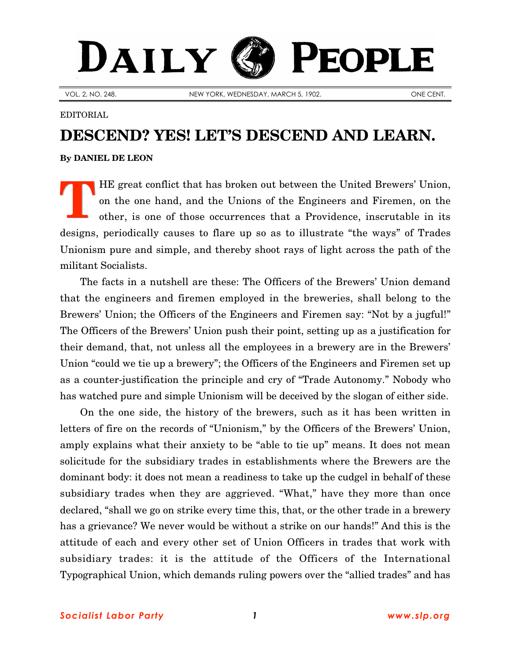## DAILY PEOPLE

VOL. 2, NO. 248. NEW YORK, WEDNESDAY, MARCH 5, 1902. ONE CENT.

## EDITORIAL

## **DESCEND? YES! LET'S DESCEND AND LEARN.**

**By [DANIEL DE LEON](http://slp.org/De_Leon.htm)**

HE great conflict that has broken out between the United Brewers' Union, on the one hand, and the Unions of the Engineers and Firemen, on the other, is one of those occurrences that a Providence, inscrutable in its designs, periodically causes to flare up so as to illustrate "the ways" of Trades Unionism pure and simple, and thereby shoot rays of light across the path of the militant Socialists. **T**

The facts in a nutshell are these: The Officers of the Brewers' Union demand that the engineers and firemen employed in the breweries, shall belong to the Brewers' Union; the Officers of the Engineers and Firemen say: "Not by a jugful!" The Officers of the Brewers' Union push their point, setting up as a justification for their demand, that, not unless all the employees in a brewery are in the Brewers' Union "could we tie up a brewery"; the Officers of the Engineers and Firemen set up as a counter-justification the principle and cry of "Trade Autonomy." Nobody who has watched pure and simple Unionism will be deceived by the slogan of either side.

On the one side, the history of the brewers, such as it has been written in letters of fire on the records of "Unionism," by the Officers of the Brewers' Union, amply explains what their anxiety to be "able to tie up" means. It does not mean solicitude for the subsidiary trades in establishments where the Brewers are the dominant body: it does not mean a readiness to take up the cudgel in behalf of these subsidiary trades when they are aggrieved. "What," have they more than once declared, "shall we go on strike every time this, that, or the other trade in a brewery has a grievance? We never would be without a strike on our hands!" And this is the attitude of each and every other set of Union Officers in trades that work with subsidiary trades: it is the attitude of the Officers of the International Typographical Union, which demands ruling powers over the "allied trades" and has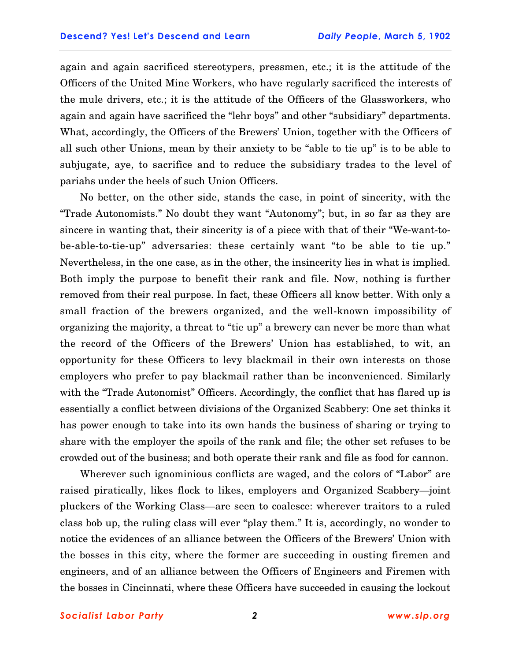again and again sacrificed stereotypers, pressmen, etc.; it is the attitude of the Officers of the United Mine Workers, who have regularly sacrificed the interests of the mule drivers, etc.; it is the attitude of the Officers of the Glassworkers, who again and again have sacrificed the "lehr boys" and other "subsidiary" departments. What, accordingly, the Officers of the Brewers' Union, together with the Officers of all such other Unions, mean by their anxiety to be "able to tie up" is to be able to subjugate, aye, to sacrifice and to reduce the subsidiary trades to the level of pariahs under the heels of such Union Officers.

No better, on the other side, stands the case, in point of sincerity, with the "Trade Autonomists." No doubt they want "Autonomy"; but, in so far as they are sincere in wanting that, their sincerity is of a piece with that of their "We-want-tobe-able-to-tie-up" adversaries: these certainly want "to be able to tie up." Nevertheless, in the one case, as in the other, the insincerity lies in what is implied. Both imply the purpose to benefit their rank and file. Now, nothing is further removed from their real purpose. In fact, these Officers all know better. With only a small fraction of the brewers organized, and the well-known impossibility of organizing the majority, a threat to "tie up" a brewery can never be more than what the record of the Officers of the Brewers' Union has established, to wit, an opportunity for these Officers to levy blackmail in their own interests on those employers who prefer to pay blackmail rather than be inconvenienced. Similarly with the "Trade Autonomist" Officers. Accordingly, the conflict that has flared up is essentially a conflict between divisions of the Organized Scabbery: One set thinks it has power enough to take into its own hands the business of sharing or trying to share with the employer the spoils of the rank and file; the other set refuses to be crowded out of the business; and both operate their rank and file as food for cannon.

Wherever such ignominious conflicts are waged, and the colors of "Labor" are raised piratically, likes flock to likes, employers and Organized Scabbery—joint pluckers of the Working Class—are seen to coalesce: wherever traitors to a ruled class bob up, the ruling class will ever "play them." It is, accordingly, no wonder to notice the evidences of an alliance between the Officers of the Brewers' Union with the bosses in this city, where the former are succeeding in ousting firemen and engineers, and of an alliance between the Officers of Engineers and Firemen with the bosses in Cincinnati, where these Officers have succeeded in causing the lockout

*Socialist Labor Party 2 [www.slp.org](http://slp.org/)*